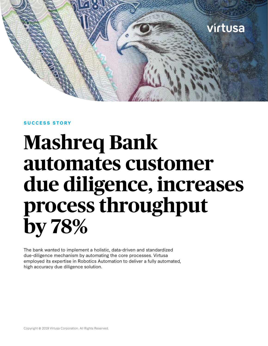

#### **SUCCESS STORY**

# **Mashreq Bank automates customer due diligence, increases process throughput by 78%**

The bank wanted to implement a holistic, data-driven and standardized due-diligence mechanism by automating the core processes. Virtusa employed its expertise in Robotics Automation to deliver a fully automated, high accuracy due diligence solution.